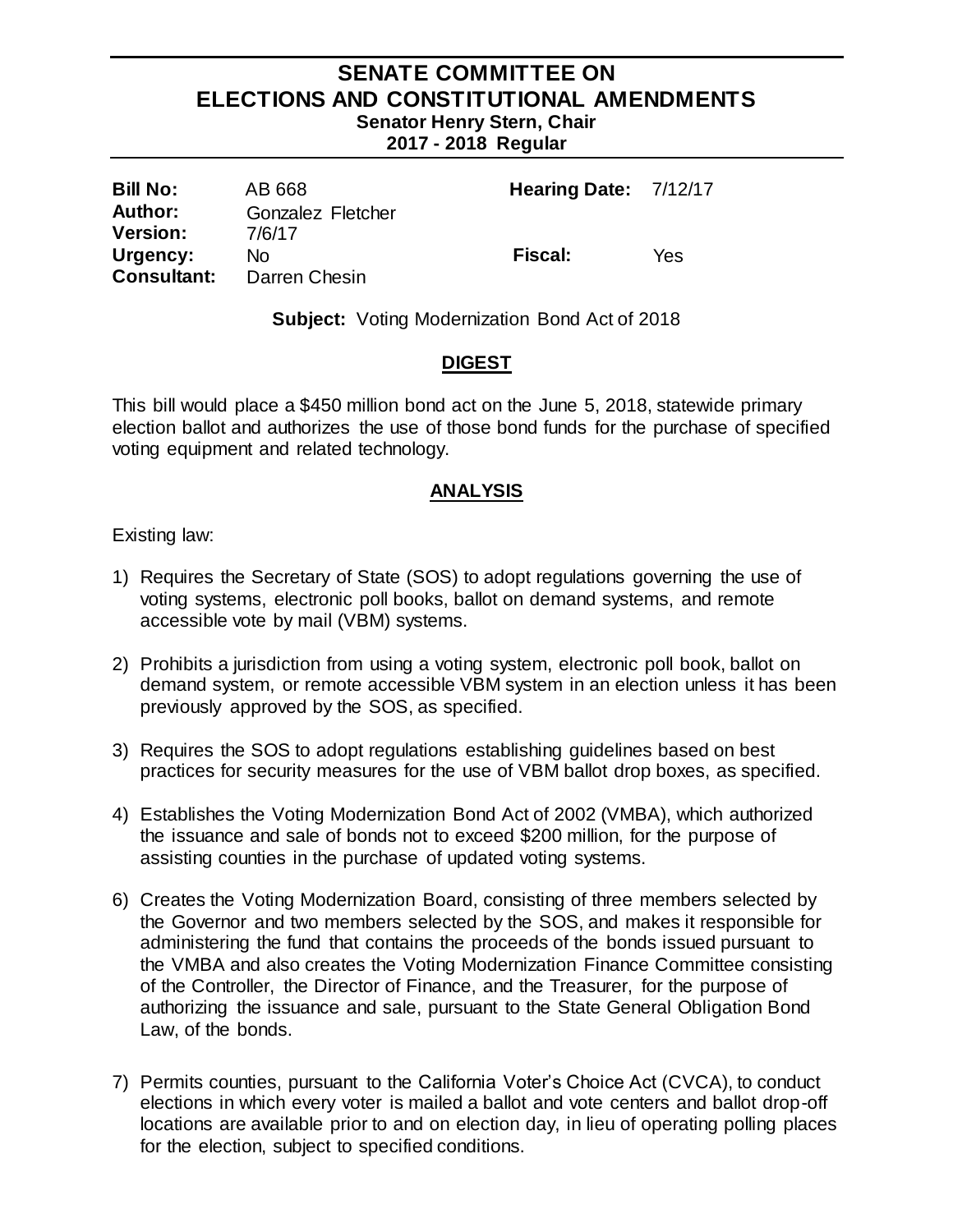# **SENATE COMMITTEE ON ELECTIONS AND CONSTITUTIONAL AMENDMENTS Senator Henry Stern, Chair**

**2017 - 2018 Regular** 

| <b>Bill No:</b>    | AB 668            | Hearing Date: 7/12/17 |     |
|--------------------|-------------------|-----------------------|-----|
| Author:            | Gonzalez Fletcher |                       |     |
| <b>Version:</b>    | 7/6/17            |                       |     |
| Urgency:           | No.               | <b>Fiscal:</b>        | Yes |
| <b>Consultant:</b> | Darren Chesin     |                       |     |

**Subject:** Voting Modernization Bond Act of 2018

# **DIGEST**

This bill would place a \$450 million bond act on the June 5, 2018, statewide primary election ballot and authorizes the use of those bond funds for the purchase of specified voting equipment and related technology.

# **ANALYSIS**

Existing law:

- 1) Requires the Secretary of State (SOS) to adopt regulations governing the use of voting systems, electronic poll books, ballot on demand systems, and remote accessible vote by mail (VBM) systems.
- 2) Prohibits a jurisdiction from using a voting system, electronic poll book, ballot on demand system, or remote accessible VBM system in an election unless it has been previously approved by the SOS, as specified.
- 3) Requires the SOS to adopt regulations establishing guidelines based on best practices for security measures for the use of VBM ballot drop boxes, as specified.
- 4) Establishes the Voting Modernization Bond Act of 2002 (VMBA), which authorized the issuance and sale of bonds not to exceed \$200 million, for the purpose of assisting counties in the purchase of updated voting systems.
- 6) Creates the Voting Modernization Board, consisting of three members selected by the Governor and two members selected by the SOS, and makes it responsible for administering the fund that contains the proceeds of the bonds issued pursuant to the VMBA and also creates the Voting Modernization Finance Committee consisting of the Controller, the Director of Finance, and the Treasurer, for the purpose of authorizing the issuance and sale, pursuant to the State General Obligation Bond Law, of the bonds.
- 7) Permits counties, pursuant to the California Voter's Choice Act (CVCA), to conduct elections in which every voter is mailed a ballot and vote centers and ballot drop-off locations are available prior to and on election day, in lieu of operating polling places for the election, subject to specified conditions.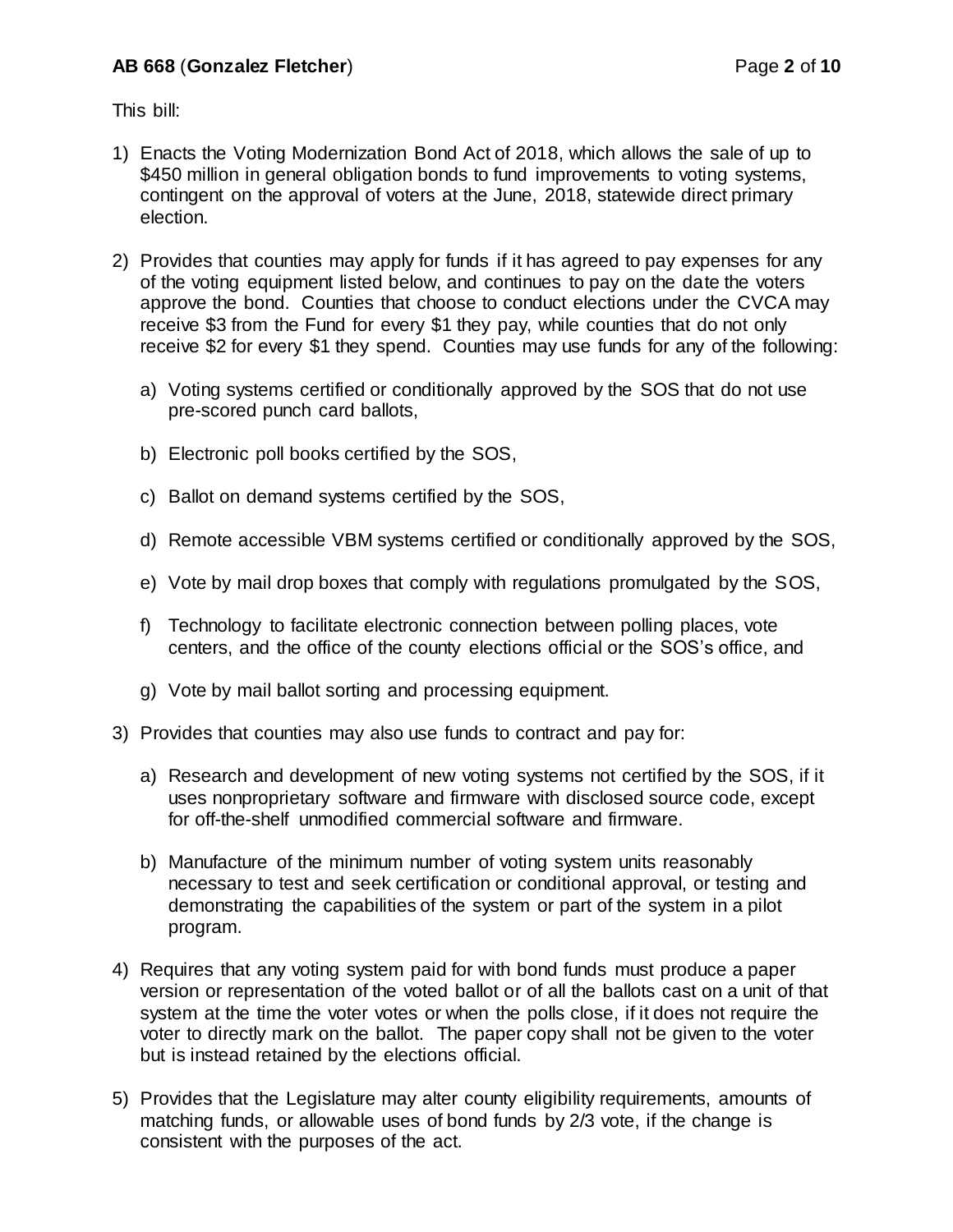This bill:

- 1) Enacts the Voting Modernization Bond Act of 2018, which allows the sale of up to \$450 million in general obligation bonds to fund improvements to voting systems, contingent on the approval of voters at the June, 2018, statewide direct primary election.
- 2) Provides that counties may apply for funds if it has agreed to pay expenses for any of the voting equipment listed below, and continues to pay on the date the voters approve the bond. Counties that choose to conduct elections under the CVCA may receive \$3 from the Fund for every \$1 they pay, while counties that do not only receive \$2 for every \$1 they spend. Counties may use funds for any of the following:
	- a) Voting systems certified or conditionally approved by the SOS that do not use pre-scored punch card ballots,
	- b) Electronic poll books certified by the SOS,
	- c) Ballot on demand systems certified by the SOS,
	- d) Remote accessible VBM systems certified or conditionally approved by the SOS,
	- e) Vote by mail drop boxes that comply with regulations promulgated by the SOS,
	- f) Technology to facilitate electronic connection between polling places, vote centers, and the office of the county elections official or the SOS's office, and
	- g) Vote by mail ballot sorting and processing equipment.
- 3) Provides that counties may also use funds to contract and pay for:
	- a) Research and development of new voting systems not certified by the SOS, if it uses nonproprietary software and firmware with disclosed source code, except for off-the-shelf unmodified commercial software and firmware.
	- b) Manufacture of the minimum number of voting system units reasonably necessary to test and seek certification or conditional approval, or testing and demonstrating the capabilities of the system or part of the system in a pilot program.
- 4) Requires that any voting system paid for with bond funds must produce a paper version or representation of the voted ballot or of all the ballots cast on a unit of that system at the time the voter votes or when the polls close, if it does not require the voter to directly mark on the ballot. The paper copy shall not be given to the voter but is instead retained by the elections official.
- 5) Provides that the Legislature may alter county eligibility requirements, amounts of matching funds, or allowable uses of bond funds by 2/3 vote, if the change is consistent with the purposes of the act.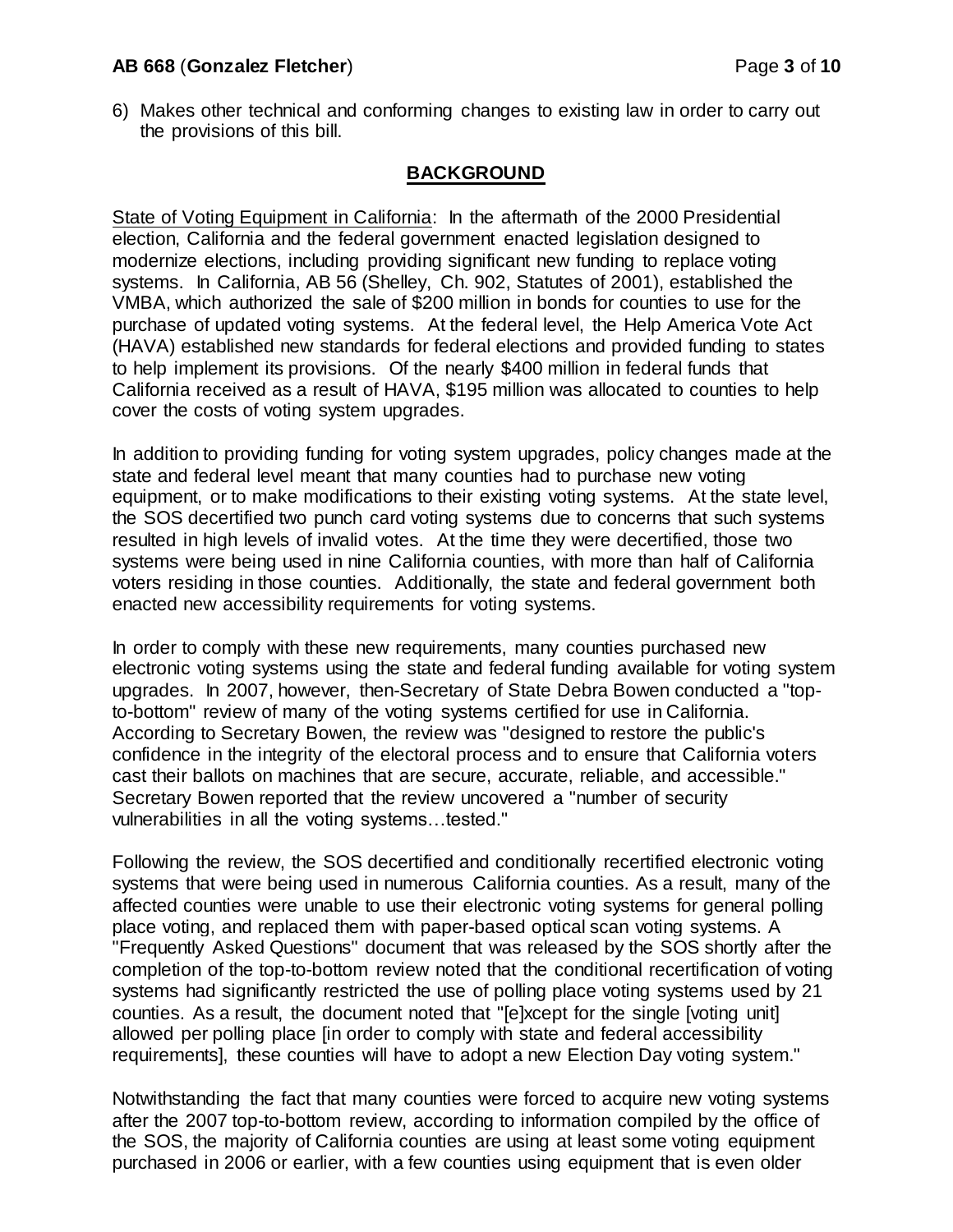#### **AB 668** (**Gonzalez Fletcher**) Page **3** of **10**

6) Makes other technical and conforming changes to existing law in order to carry out the provisions of this bill.

# **BACKGROUND**

State of Voting Equipment in California: In the aftermath of the 2000 Presidential election, California and the federal government enacted legislation designed to modernize elections, including providing significant new funding to replace voting systems. In California, AB 56 (Shelley, Ch. 902, Statutes of 2001), established the VMBA, which authorized the sale of \$200 million in bonds for counties to use for the purchase of updated voting systems. At the federal level, the Help America Vote Act (HAVA) established new standards for federal elections and provided funding to states to help implement its provisions. Of the nearly \$400 million in federal funds that California received as a result of HAVA, \$195 million was allocated to counties to help cover the costs of voting system upgrades.

In addition to providing funding for voting system upgrades, policy changes made at the state and federal level meant that many counties had to purchase new voting equipment, or to make modifications to their existing voting systems. At the state level, the SOS decertified two punch card voting systems due to concerns that such systems resulted in high levels of invalid votes. At the time they were decertified, those two systems were being used in nine California counties, with more than half of California voters residing in those counties. Additionally, the state and federal government both enacted new accessibility requirements for voting systems.

In order to comply with these new requirements, many counties purchased new electronic voting systems using the state and federal funding available for voting system upgrades. In 2007, however, then-Secretary of State Debra Bowen conducted a "topto-bottom" review of many of the voting systems certified for use in California. According to Secretary Bowen, the review was "designed to restore the public's confidence in the integrity of the electoral process and to ensure that California voters cast their ballots on machines that are secure, accurate, reliable, and accessible." Secretary Bowen reported that the review uncovered a "number of security vulnerabilities in all the voting systems…tested."

Following the review, the SOS decertified and conditionally recertified electronic voting systems that were being used in numerous California counties. As a result, many of the affected counties were unable to use their electronic voting systems for general polling place voting, and replaced them with paper-based optical scan voting systems. A "Frequently Asked Questions" document that was released by the SOS shortly after the completion of the top-to-bottom review noted that the conditional recertification of voting systems had significantly restricted the use of polling place voting systems used by 21 counties. As a result, the document noted that "[e]xcept for the single [voting unit] allowed per polling place [in order to comply with state and federal accessibility requirements], these counties will have to adopt a new Election Day voting system."

Notwithstanding the fact that many counties were forced to acquire new voting systems after the 2007 top-to-bottom review, according to information compiled by the office of the SOS, the majority of California counties are using at least some voting equipment purchased in 2006 or earlier, with a few counties using equipment that is even older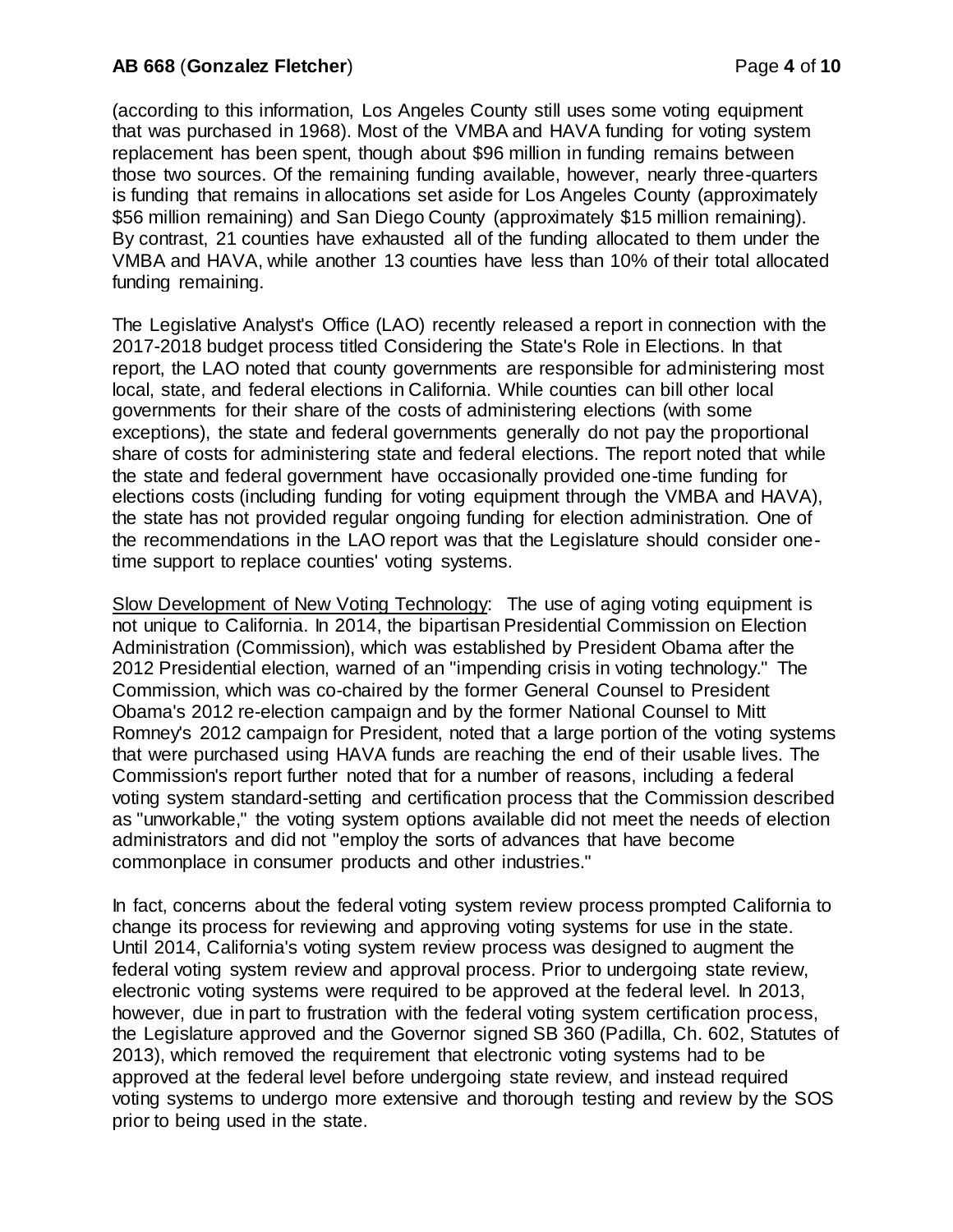## **AB 668** (**Gonzalez Fletcher**) Page **4** of **10**

(according to this information, Los Angeles County still uses some voting equipment that was purchased in 1968). Most of the VMBA and HAVA funding for voting system replacement has been spent, though about \$96 million in funding remains between those two sources. Of the remaining funding available, however, nearly three-quarters is funding that remains in allocations set aside for Los Angeles County (approximately \$56 million remaining) and San Diego County (approximately \$15 million remaining). By contrast, 21 counties have exhausted all of the funding allocated to them under the VMBA and HAVA, while another 13 counties have less than 10% of their total allocated funding remaining.

The Legislative Analyst's Office (LAO) recently released a report in connection with the 2017-2018 budget process titled Considering the State's Role in Elections. In that report, the LAO noted that county governments are responsible for administering most local, state, and federal elections in California. While counties can bill other local governments for their share of the costs of administering elections (with some exceptions), the state and federal governments generally do not pay the proportional share of costs for administering state and federal elections. The report noted that while the state and federal government have occasionally provided one-time funding for elections costs (including funding for voting equipment through the VMBA and HAVA), the state has not provided regular ongoing funding for election administration. One of the recommendations in the LAO report was that the Legislature should consider onetime support to replace counties' voting systems.

Slow Development of New Voting Technology: The use of aging voting equipment is not unique to California. In 2014, the bipartisan Presidential Commission on Election Administration (Commission), which was established by President Obama after the 2012 Presidential election, warned of an "impending crisis in voting technology." The Commission, which was co-chaired by the former General Counsel to President Obama's 2012 re-election campaign and by the former National Counsel to Mitt Romney's 2012 campaign for President, noted that a large portion of the voting systems that were purchased using HAVA funds are reaching the end of their usable lives. The Commission's report further noted that for a number of reasons, including a federal voting system standard-setting and certification process that the Commission described as "unworkable," the voting system options available did not meet the needs of election administrators and did not "employ the sorts of advances that have become commonplace in consumer products and other industries."

In fact, concerns about the federal voting system review process prompted California to change its process for reviewing and approving voting systems for use in the state. Until 2014, California's voting system review process was designed to augment the federal voting system review and approval process. Prior to undergoing state review, electronic voting systems were required to be approved at the federal level. In 2013, however, due in part to frustration with the federal voting system certification process, the Legislature approved and the Governor signed SB 360 (Padilla, Ch. 602, Statutes of 2013), which removed the requirement that electronic voting systems had to be approved at the federal level before undergoing state review, and instead required voting systems to undergo more extensive and thorough testing and review by the SOS prior to being used in the state.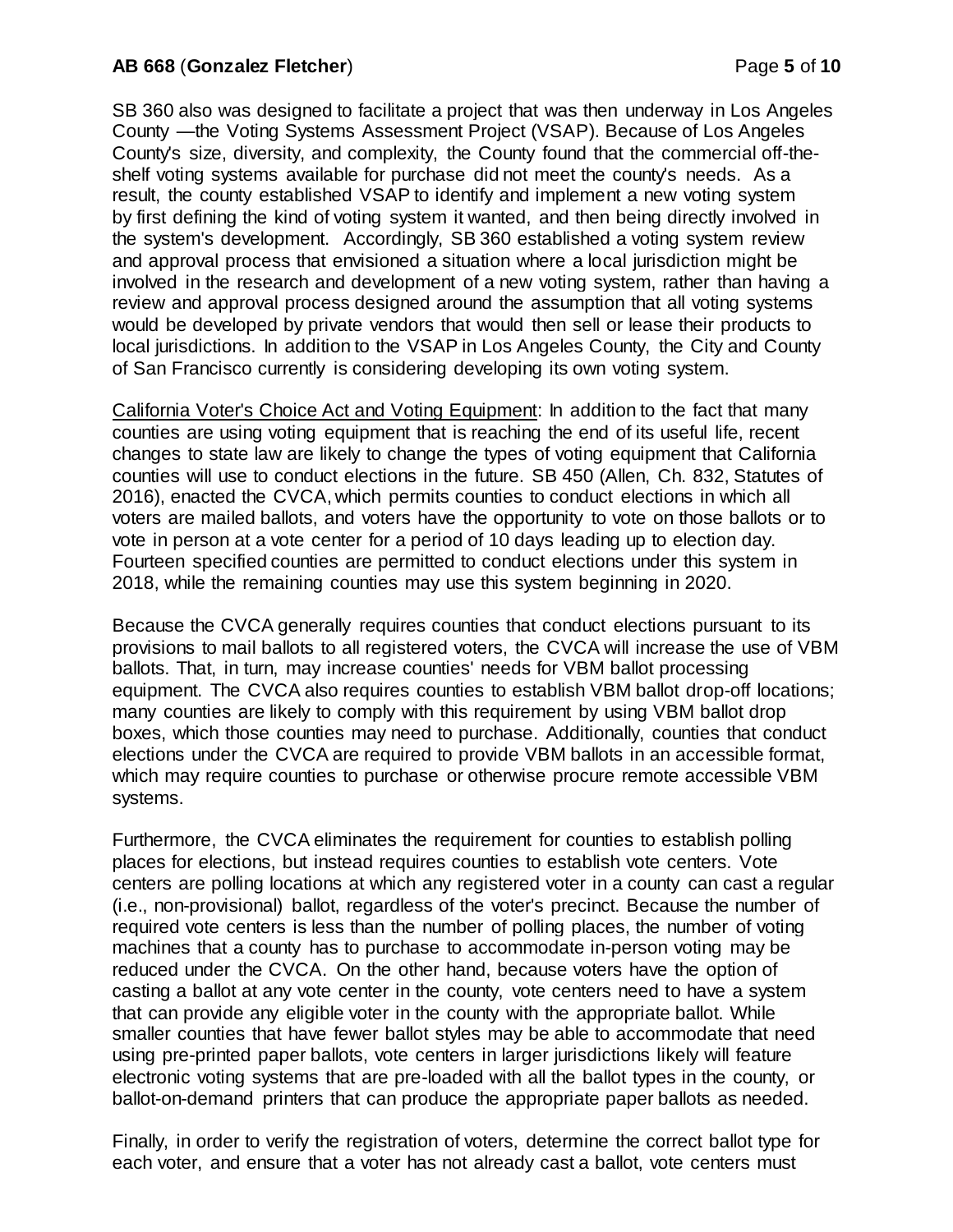#### **AB 668** (**Gonzalez Fletcher**) Page **5** of **10**

SB 360 also was designed to facilitate a project that was then underway in Los Angeles County —the Voting Systems Assessment Project (VSAP). Because of Los Angeles County's size, diversity, and complexity, the County found that the commercial off-theshelf voting systems available for purchase did not meet the county's needs. As a result, the county established VSAP to identify and implement a new voting system by first defining the kind of voting system it wanted, and then being directly involved in the system's development. Accordingly, SB 360 established a voting system review and approval process that envisioned a situation where a local jurisdiction might be involved in the research and development of a new voting system, rather than having a review and approval process designed around the assumption that all voting systems would be developed by private vendors that would then sell or lease their products to local jurisdictions. In addition to the VSAP in Los Angeles County, the City and County of San Francisco currently is considering developing its own voting system.

California Voter's Choice Act and Voting Equipment: In addition to the fact that many counties are using voting equipment that is reaching the end of its useful life, recent changes to state law are likely to change the types of voting equipment that California counties will use to conduct elections in the future. SB 450 (Allen, Ch. 832, Statutes of 2016), enacted the CVCA, which permits counties to conduct elections in which all voters are mailed ballots, and voters have the opportunity to vote on those ballots or to vote in person at a vote center for a period of 10 days leading up to election day. Fourteen specified counties are permitted to conduct elections under this system in 2018, while the remaining counties may use this system beginning in 2020.

Because the CVCA generally requires counties that conduct elections pursuant to its provisions to mail ballots to all registered voters, the CVCA will increase the use of VBM ballots. That, in turn, may increase counties' needs for VBM ballot processing equipment. The CVCA also requires counties to establish VBM ballot drop-off locations; many counties are likely to comply with this requirement by using VBM ballot drop boxes, which those counties may need to purchase. Additionally, counties that conduct elections under the CVCA are required to provide VBM ballots in an accessible format, which may require counties to purchase or otherwise procure remote accessible VBM systems.

Furthermore, the CVCA eliminates the requirement for counties to establish polling places for elections, but instead requires counties to establish vote centers. Vote centers are polling locations at which any registered voter in a county can cast a regular (i.e., non-provisional) ballot, regardless of the voter's precinct. Because the number of required vote centers is less than the number of polling places, the number of voting machines that a county has to purchase to accommodate in-person voting may be reduced under the CVCA. On the other hand, because voters have the option of casting a ballot at any vote center in the county, vote centers need to have a system that can provide any eligible voter in the county with the appropriate ballot. While smaller counties that have fewer ballot styles may be able to accommodate that need using pre-printed paper ballots, vote centers in larger jurisdictions likely will feature electronic voting systems that are pre-loaded with all the ballot types in the county, or ballot-on-demand printers that can produce the appropriate paper ballots as needed.

Finally, in order to verify the registration of voters, determine the correct ballot type for each voter, and ensure that a voter has not already cast a ballot, vote centers must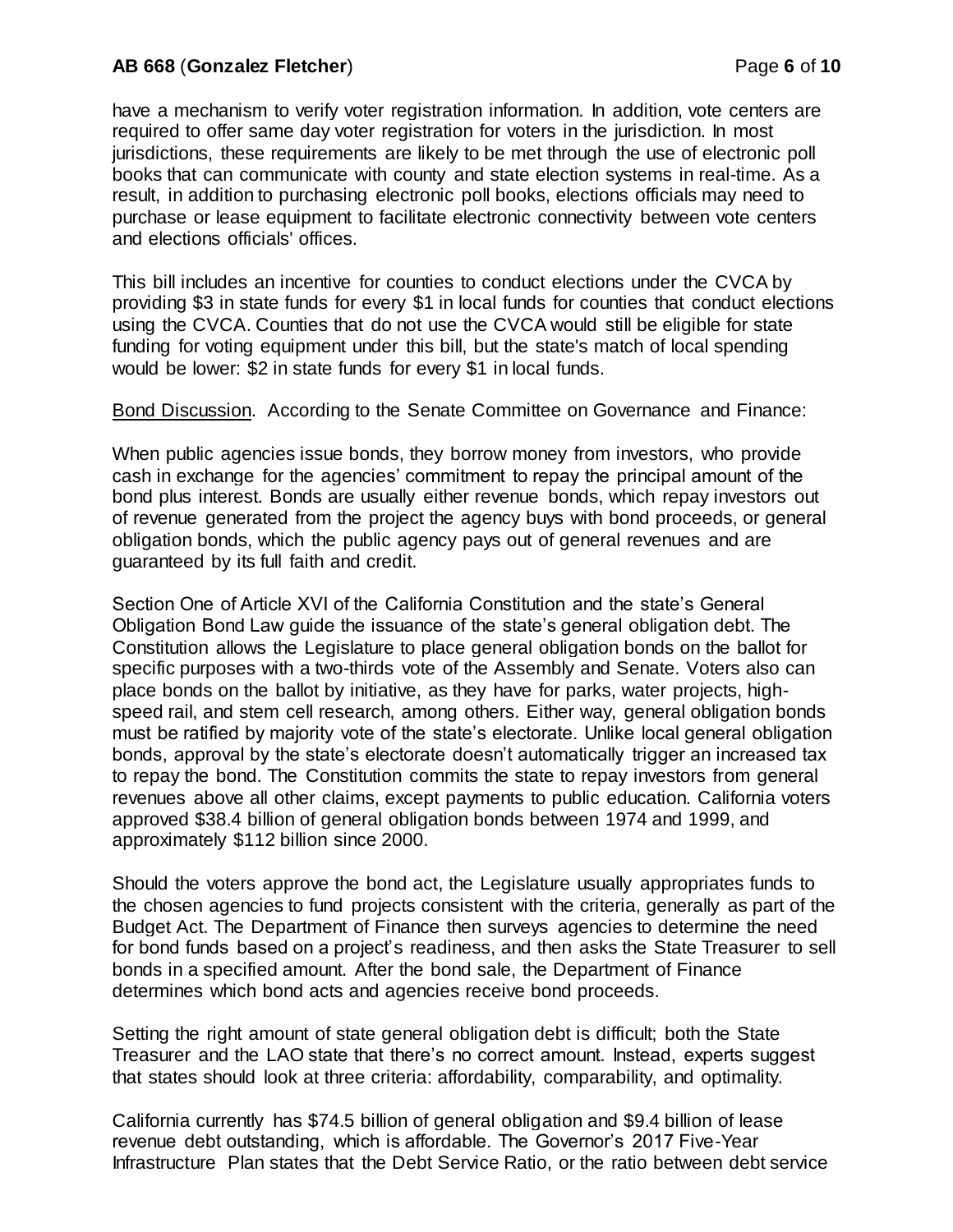## **AB 668** (**Gonzalez Fletcher**) Page **6** of **10**

have a mechanism to verify voter registration information. In addition, vote centers are required to offer same day voter registration for voters in the jurisdiction. In most jurisdictions, these requirements are likely to be met through the use of electronic poll books that can communicate with county and state election systems in real-time. As a result, in addition to purchasing electronic poll books, elections officials may need to purchase or lease equipment to facilitate electronic connectivity between vote centers and elections officials' offices.

This bill includes an incentive for counties to conduct elections under the CVCA by providing \$3 in state funds for every \$1 in local funds for counties that conduct elections using the CVCA. Counties that do not use the CVCA would still be eligible for state funding for voting equipment under this bill, but the state's match of local spending would be lower: \$2 in state funds for every \$1 in local funds.

Bond Discussion. According to the Senate Committee on Governance and Finance:

When public agencies issue bonds, they borrow money from investors, who provide cash in exchange for the agencies' commitment to repay the principal amount of the bond plus interest. Bonds are usually either revenue bonds, which repay investors out of revenue generated from the project the agency buys with bond proceeds, or general obligation bonds, which the public agency pays out of general revenues and are guaranteed by its full faith and credit.

Section One of Article XVI of the California Constitution and the state's General Obligation Bond Law guide the issuance of the state's general obligation debt. The Constitution allows the Legislature to place general obligation bonds on the ballot for specific purposes with a two-thirds vote of the Assembly and Senate. Voters also can place bonds on the ballot by initiative, as they have for parks, water projects, highspeed rail, and stem cell research, among others. Either way, general obligation bonds must be ratified by majority vote of the state's electorate. Unlike local general obligation bonds, approval by the state's electorate doesn't automatically trigger an increased tax to repay the bond. The Constitution commits the state to repay investors from general revenues above all other claims, except payments to public education. California voters approved \$38.4 billion of general obligation bonds between 1974 and 1999, and approximately \$112 billion since 2000.

Should the voters approve the bond act, the Legislature usually appropriates funds to the chosen agencies to fund projects consistent with the criteria, generally as part of the Budget Act. The Department of Finance then surveys agencies to determine the need for bond funds based on a project's readiness, and then asks the State Treasurer to sell bonds in a specified amount. After the bond sale, the Department of Finance determines which bond acts and agencies receive bond proceeds.

Setting the right amount of state general obligation debt is difficult; both the State Treasurer and the LAO state that there's no correct amount. Instead, experts suggest that states should look at three criteria: affordability, comparability, and optimality.

California currently has \$74.5 billion of general obligation and \$9.4 billion of lease revenue debt outstanding, which is affordable. The Governor's 2017 Five-Year Infrastructure Plan states that the Debt Service Ratio, or the ratio between debt service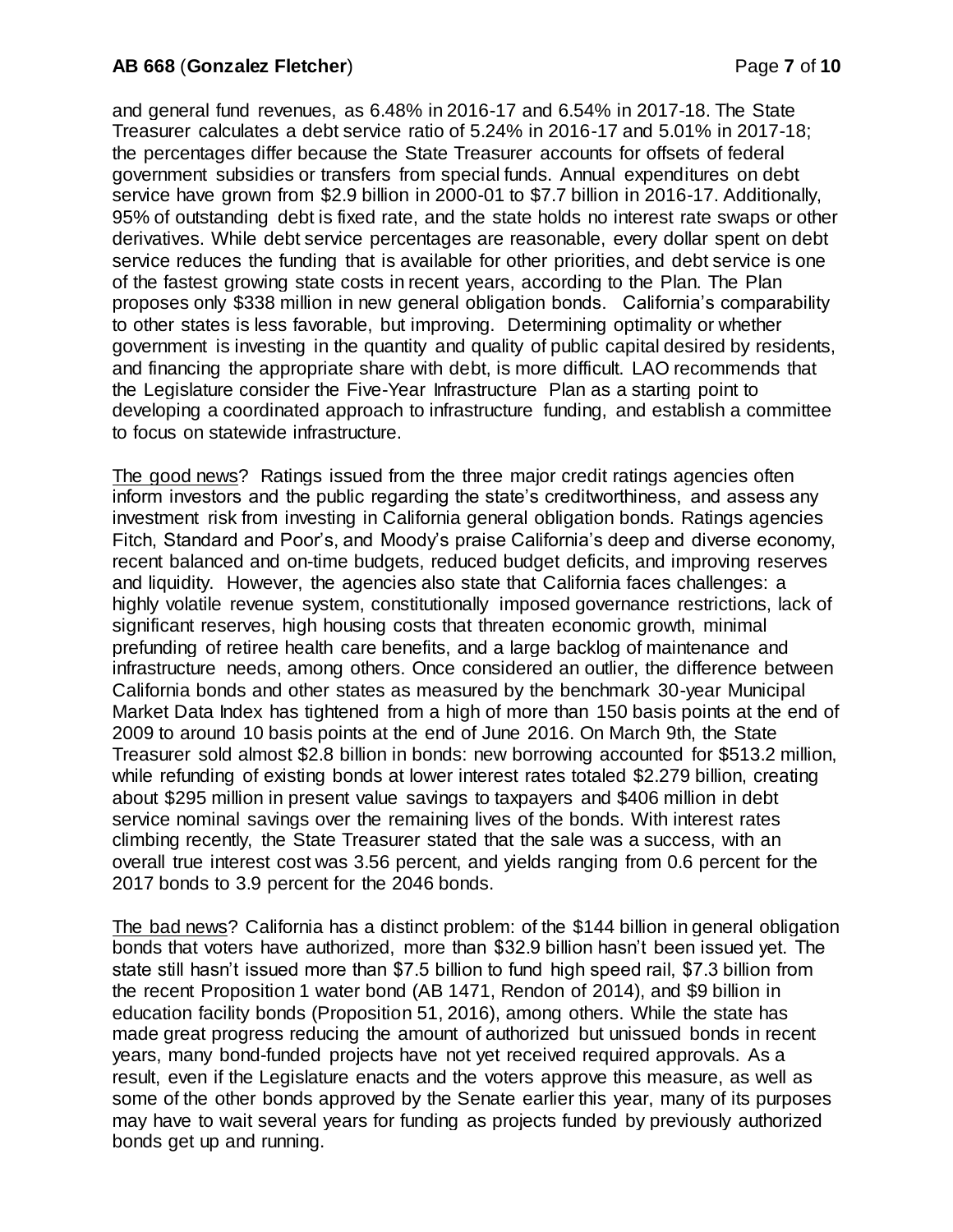and general fund revenues, as 6.48% in 2016-17 and 6.54% in 2017-18. The State Treasurer calculates a debt service ratio of 5.24% in 2016-17 and 5.01% in 2017-18; the percentages differ because the State Treasurer accounts for offsets of federal government subsidies or transfers from special funds. Annual expenditures on debt service have grown from \$2.9 billion in 2000-01 to \$7.7 billion in 2016-17. Additionally, 95% of outstanding debt is fixed rate, and the state holds no interest rate swaps or other derivatives. While debt service percentages are reasonable, every dollar spent on debt service reduces the funding that is available for other priorities, and debt service is one of the fastest growing state costs in recent years, according to the Plan. The Plan proposes only \$338 million in new general obligation bonds. California's comparability to other states is less favorable, but improving. Determining optimality or whether government is investing in the quantity and quality of public capital desired by residents, and financing the appropriate share with debt, is more difficult. LAO recommends that the Legislature consider the Five-Year Infrastructure Plan as a starting point to developing a coordinated approach to infrastructure funding, and establish a committee to focus on statewide infrastructure.

The good news? Ratings issued from the three major credit ratings agencies often inform investors and the public regarding the state's creditworthiness, and assess any investment risk from investing in California general obligation bonds. Ratings agencies Fitch, Standard and Poor's, and Moody's praise California's deep and diverse economy, recent balanced and on-time budgets, reduced budget deficits, and improving reserves and liquidity. However, the agencies also state that California faces challenges: a highly volatile revenue system, constitutionally imposed governance restrictions, lack of significant reserves, high housing costs that threaten economic growth, minimal prefunding of retiree health care benefits, and a large backlog of maintenance and infrastructure needs, among others. Once considered an outlier, the difference between California bonds and other states as measured by the benchmark 30-year Municipal Market Data Index has tightened from a high of more than 150 basis points at the end of 2009 to around 10 basis points at the end of June 2016. On March 9th, the State Treasurer sold almost \$2.8 billion in bonds: new borrowing accounted for \$513.2 million, while refunding of existing bonds at lower interest rates totaled \$2.279 billion, creating about \$295 million in present value savings to taxpayers and \$406 million in debt service nominal savings over the remaining lives of the bonds. With interest rates climbing recently, the State Treasurer stated that the sale was a success, with an overall true interest cost was 3.56 percent, and yields ranging from 0.6 percent for the 2017 bonds to 3.9 percent for the 2046 bonds.

The bad news? California has a distinct problem: of the \$144 billion in general obligation bonds that voters have authorized, more than \$32.9 billion hasn't been issued yet. The state still hasn't issued more than \$7.5 billion to fund high speed rail, \$7.3 billion from the recent Proposition 1 water bond (AB 1471, Rendon of 2014), and \$9 billion in education facility bonds (Proposition 51, 2016), among others. While the state has made great progress reducing the amount of authorized but unissued bonds in recent years, many bond-funded projects have not yet received required approvals. As a result, even if the Legislature enacts and the voters approve this measure, as well as some of the other bonds approved by the Senate earlier this year, many of its purposes may have to wait several years for funding as projects funded by previously authorized bonds get up and running.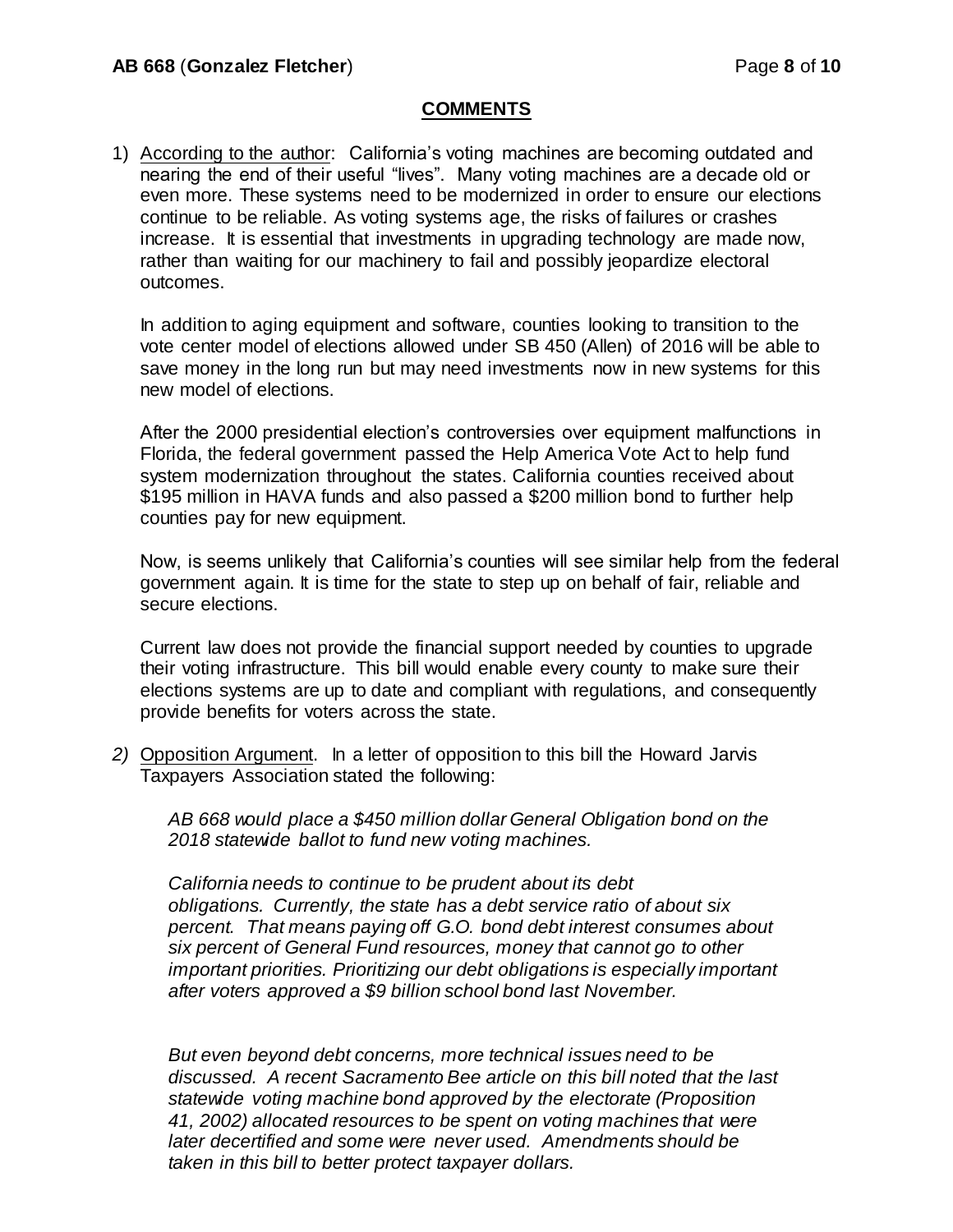## **COMMENTS**

1) According to the author: California's voting machines are becoming outdated and nearing the end of their useful "lives". Many voting machines are a decade old or even more. These systems need to be modernized in order to ensure our elections continue to be reliable. As voting systems age, the risks of failures or crashes increase. It is essential that investments in upgrading technology are made now, rather than waiting for our machinery to fail and possibly jeopardize electoral outcomes.

In addition to aging equipment and software, counties looking to transition to the vote center model of elections allowed under SB 450 (Allen) of 2016 will be able to save money in the long run but may need investments now in new systems for this new model of elections.

After the 2000 presidential election's controversies over equipment malfunctions in Florida, the federal government passed the Help America Vote Act to help fund system modernization throughout the states. California counties received about \$195 million in HAVA funds and also passed a \$200 million bond to further help counties pay for new equipment.

Now, is seems unlikely that California's counties will see similar help from the federal government again. It is time for the state to step up on behalf of fair, reliable and secure elections.

Current law does not provide the financial support needed by counties to upgrade their voting infrastructure. This bill would enable every county to make sure their elections systems are up to date and compliant with regulations, and consequently provide benefits for voters across the state.

*2)* Opposition Argument. In a letter of opposition to this bill the Howard Jarvis Taxpayers Association stated the following:

*AB 668 would place a \$450 million dollar General Obligation bond on the 2018 statewide ballot to fund new voting machines.* 

*California needs to continue to be prudent about its debt obligations. Currently, the state has a debt service ratio of about six percent. That means paying off G.O. bond debt interest consumes about six percent of General Fund resources, money that cannot go to other important priorities. Prioritizing our debt obligations is especially important after voters approved a \$9 billion school bond last November.* 

*But even beyond debt concerns, more technical issues need to be discussed. A recent Sacramento Bee article on this bill noted that the last statewide voting machine bond approved by the electorate (Proposition 41, 2002) allocated resources to be spent on voting machines that were later decertified and some were never used. Amendments should be taken in this bill to better protect taxpayer dollars.*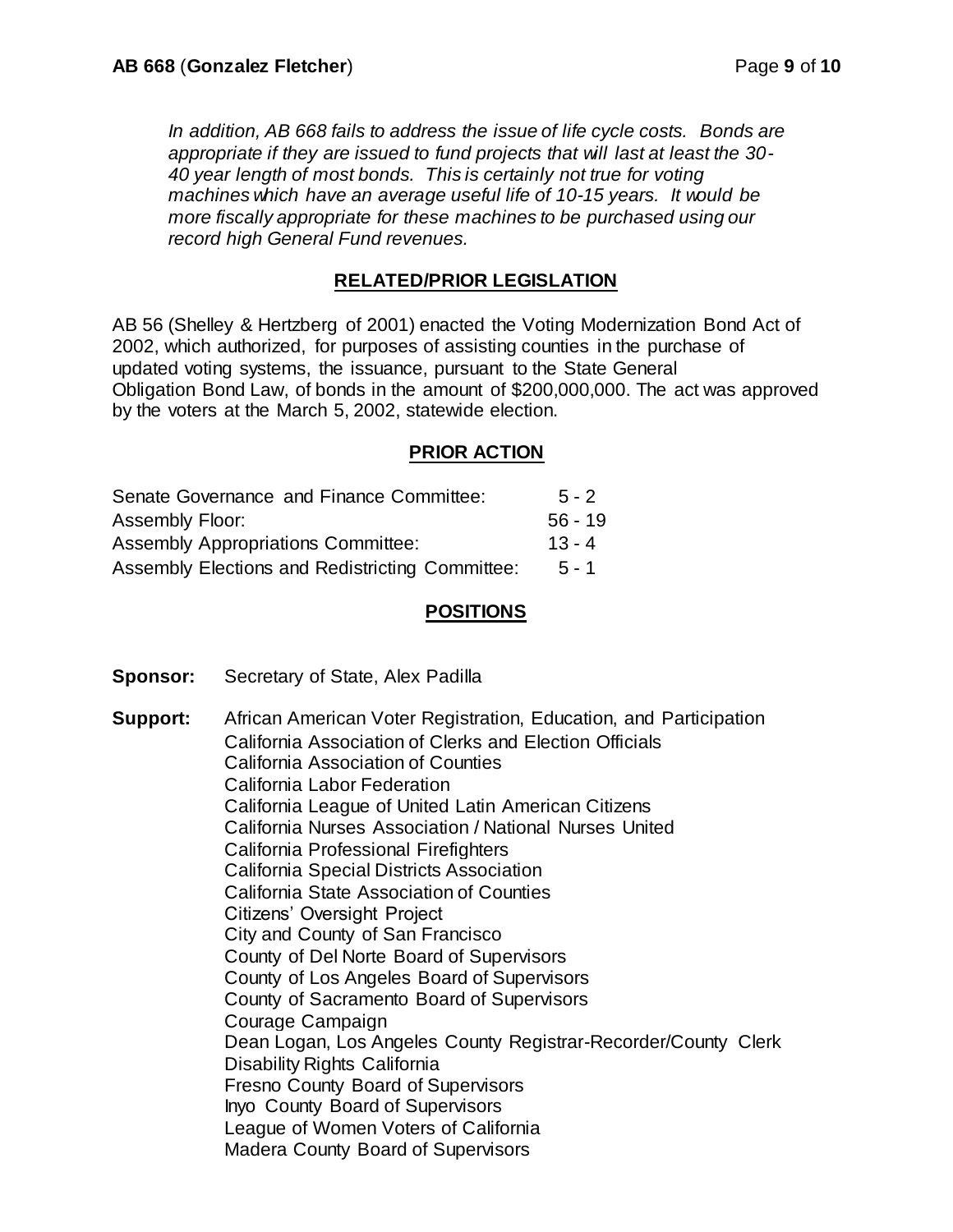*In addition, AB 668 fails to address the issue of life cycle costs. Bonds are appropriate if they are issued to fund projects that will last at least the 30- 40 year length of most bonds. This is certainly not true for voting machines which have an average useful life of 10-15 years. It would be more fiscally appropriate for these machines to be purchased using our record high General Fund revenues.* 

# **RELATED/PRIOR LEGISLATION**

AB 56 (Shelley & Hertzberg of 2001) enacted the Voting Modernization Bond Act of 2002, which authorized, for purposes of assisting counties in the purchase of updated voting systems, the issuance, pursuant to the State General Obligation Bond Law, of bonds in the amount of \$200,000,000. The act was approved by the voters at the March 5, 2002, statewide election.

## **PRIOR ACTION**

| Senate Governance and Finance Committee:        | $5 - 2$   |
|-------------------------------------------------|-----------|
| Assembly Floor:                                 | $56 - 19$ |
| <b>Assembly Appropriations Committee:</b>       | $13 - 4$  |
| Assembly Elections and Redistricting Committee: | $5 - 1$   |

## **POSITIONS**

**Sponsor:** Secretary of State, Alex Padilla

**Support:** African American Voter Registration, Education, and Participation California Association of Clerks and Election Officials California Association of Counties California Labor Federation California League of United Latin American Citizens California Nurses Association / National Nurses United California Professional Firefighters California Special Districts Association California State Association of Counties Citizens' Oversight Project City and County of San Francisco County of Del Norte Board of Supervisors County of Los Angeles Board of Supervisors County of Sacramento Board of Supervisors Courage Campaign Dean Logan, Los Angeles County Registrar-Recorder/County Clerk Disability Rights California Fresno County Board of Supervisors Inyo County Board of Supervisors League of Women Voters of California Madera County Board of Supervisors